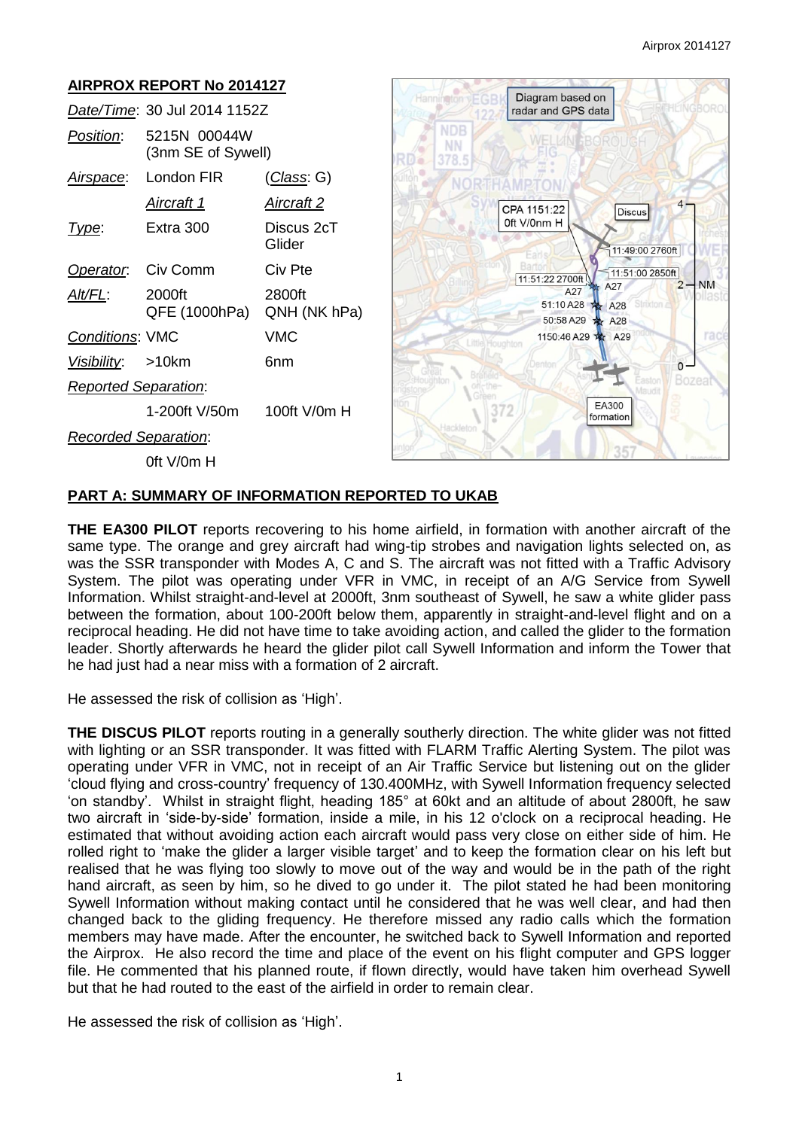

### **PART A: SUMMARY OF INFORMATION REPORTED TO UKAB**

**THE EA300 PILOT** reports recovering to his home airfield, in formation with another aircraft of the same type. The orange and grey aircraft had wing-tip strobes and navigation lights selected on, as was the SSR transponder with Modes A, C and S. The aircraft was not fitted with a Traffic Advisory System. The pilot was operating under VFR in VMC, in receipt of an A/G Service from Sywell Information. Whilst straight-and-level at 2000ft, 3nm southeast of Sywell, he saw a white glider pass between the formation, about 100-200ft below them, apparently in straight-and-level flight and on a reciprocal heading. He did not have time to take avoiding action, and called the glider to the formation leader. Shortly afterwards he heard the glider pilot call Sywell Information and inform the Tower that he had just had a near miss with a formation of 2 aircraft.

He assessed the risk of collision as 'High'.

**THE DISCUS PILOT** reports routing in a generally southerly direction. The white glider was not fitted with lighting or an SSR transponder. It was fitted with FLARM Traffic Alerting System. The pilot was operating under VFR in VMC, not in receipt of an Air Traffic Service but listening out on the glider 'cloud flying and cross-country' frequency of 130.400MHz, with Sywell Information frequency selected 'on standby'. Whilst in straight flight, heading 185° at 60kt and an altitude of about 2800ft, he saw two aircraft in 'side-by-side' formation, inside a mile, in his 12 o'clock on a reciprocal heading. He estimated that without avoiding action each aircraft would pass very close on either side of him. He rolled right to 'make the glider a larger visible target' and to keep the formation clear on his left but realised that he was flying too slowly to move out of the way and would be in the path of the right hand aircraft, as seen by him, so he dived to go under it. The pilot stated he had been monitoring Sywell Information without making contact until he considered that he was well clear, and had then changed back to the gliding frequency. He therefore missed any radio calls which the formation members may have made. After the encounter, he switched back to Sywell Information and reported the Airprox. He also record the time and place of the event on his flight computer and GPS logger file. He commented that his planned route, if flown directly, would have taken him overhead Sywell but that he had routed to the east of the airfield in order to remain clear.

He assessed the risk of collision as 'High'.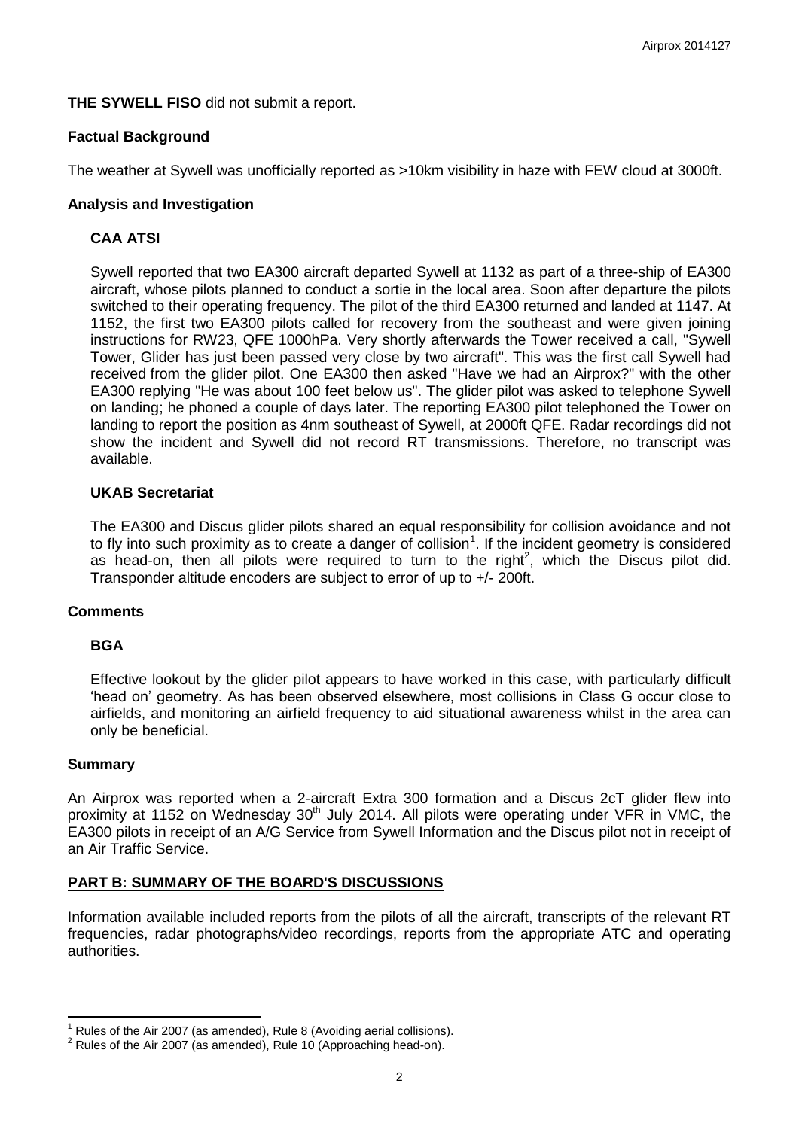**THE SYWELL FISO** did not submit a report.

### **Factual Background**

The weather at Sywell was unofficially reported as >10km visibility in haze with FEW cloud at 3000ft.

### **Analysis and Investigation**

# **CAA ATSI**

Sywell reported that two EA300 aircraft departed Sywell at 1132 as part of a three-ship of EA300 aircraft, whose pilots planned to conduct a sortie in the local area. Soon after departure the pilots switched to their operating frequency. The pilot of the third EA300 returned and landed at 1147. At 1152, the first two EA300 pilots called for recovery from the southeast and were given joining instructions for RW23, QFE 1000hPa. Very shortly afterwards the Tower received a call, "Sywell Tower, Glider has just been passed very close by two aircraft". This was the first call Sywell had received from the glider pilot. One EA300 then asked "Have we had an Airprox?" with the other EA300 replying "He was about 100 feet below us". The glider pilot was asked to telephone Sywell on landing; he phoned a couple of days later. The reporting EA300 pilot telephoned the Tower on landing to report the position as 4nm southeast of Sywell, at 2000ft QFE. Radar recordings did not show the incident and Sywell did not record RT transmissions. Therefore, no transcript was available.

## **UKAB Secretariat**

The EA300 and Discus glider pilots shared an equal responsibility for collision avoidance and not to fly into such proximity as to create a danger of collision<sup>1</sup>. If the incident geometry is considered as head-on, then all pilots were required to turn to the right<sup>2</sup>, which the Discus pilot did. Transponder altitude encoders are subject to error of up to +/- 200ft.

#### **Comments**

## **BGA**

Effective lookout by the glider pilot appears to have worked in this case, with particularly difficult 'head on' geometry. As has been observed elsewhere, most collisions in Class G occur close to airfields, and monitoring an airfield frequency to aid situational awareness whilst in the area can only be beneficial.

#### **Summary**

 $\overline{\phantom{a}}$ 

An Airprox was reported when a 2-aircraft Extra 300 formation and a Discus 2cT glider flew into proximity at 1152 on Wednesday  $30<sup>th</sup>$  July 2014. All pilots were operating under VFR in VMC, the EA300 pilots in receipt of an A/G Service from Sywell Information and the Discus pilot not in receipt of an Air Traffic Service.

## **PART B: SUMMARY OF THE BOARD'S DISCUSSIONS**

Information available included reports from the pilots of all the aircraft, transcripts of the relevant RT frequencies, radar photographs/video recordings, reports from the appropriate ATC and operating authorities.

Rules of the Air 2007 (as amended), Rule 8 (Avoiding aerial collisions).

 $2$  Rules of the Air 2007 (as amended), Rule 10 (Approaching head-on).